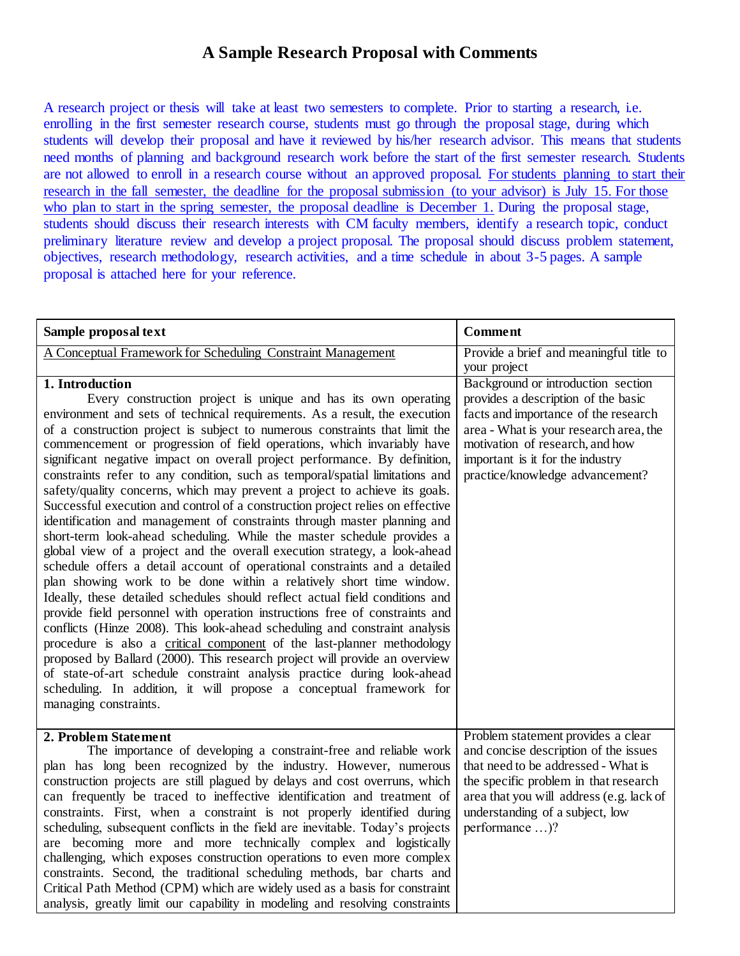## **A Sample Research Proposal with Comments**

A research project or thesis will take at least two semesters to complete. Prior to starting a research, i.e. enrolling in the first semester research course, students must go through the proposal stage, during which students will develop their proposal and have it reviewed by his/her research advisor. This means that students need months of planning and background research work before the start of the first semester research. Students are not allowed to enroll in a research course without an approved proposal. For students planning to start their research in the fall semester, the deadline for the proposal submission (to your advisor) is July 15. For those who plan to start in the spring semester, the proposal deadline is December 1. During the proposal stage, students should discuss their research interests with CM faculty members, identify a research topic, conduct preliminary literature review and develop a project proposal. The proposal should discuss problem statement, objectives, research methodology, research activities, and a time schedule in about 3-5 pages. A sample proposal is attached here for your reference.

| Sample proposal text                                                           | <b>Comment</b>                           |
|--------------------------------------------------------------------------------|------------------------------------------|
| A Conceptual Framework for Scheduling Constraint Management                    | Provide a brief and meaningful title to  |
|                                                                                | your project                             |
| 1. Introduction                                                                | Background or introduction section       |
| Every construction project is unique and has its own operating                 | provides a description of the basic      |
| environment and sets of technical requirements. As a result, the execution     | facts and importance of the research     |
| of a construction project is subject to numerous constraints that limit the    | area - What is your research area, the   |
| commencement or progression of field operations, which invariably have         | motivation of research, and how          |
| significant negative impact on overall project performance. By definition,     | important is it for the industry         |
| constraints refer to any condition, such as temporal/spatial limitations and   | practice/knowledge advancement?          |
|                                                                                |                                          |
| safety/quality concerns, which may prevent a project to achieve its goals.     |                                          |
| Successful execution and control of a construction project relies on effective |                                          |
| identification and management of constraints through master planning and       |                                          |
| short-term look-ahead scheduling. While the master schedule provides a         |                                          |
| global view of a project and the overall execution strategy, a look-ahead      |                                          |
| schedule offers a detail account of operational constraints and a detailed     |                                          |
| plan showing work to be done within a relatively short time window.            |                                          |
| Ideally, these detailed schedules should reflect actual field conditions and   |                                          |
| provide field personnel with operation instructions free of constraints and    |                                          |
| conflicts (Hinze 2008). This look-ahead scheduling and constraint analysis     |                                          |
| procedure is also a critical component of the last-planner methodology         |                                          |
| proposed by Ballard (2000). This research project will provide an overview     |                                          |
| of state-of-art schedule constraint analysis practice during look-ahead        |                                          |
| scheduling. In addition, it will propose a conceptual framework for            |                                          |
| managing constraints.                                                          |                                          |
|                                                                                |                                          |
| 2. Problem Statement                                                           | Problem statement provides a clear       |
| The importance of developing a constraint-free and reliable work               | and concise description of the issues    |
| plan has long been recognized by the industry. However, numerous               | that need to be addressed - What is      |
| construction projects are still plagued by delays and cost overruns, which     | the specific problem in that research    |
| can frequently be traced to ineffective identification and treatment of        | area that you will address (e.g. lack of |
| constraints. First, when a constraint is not properly identified during        | understanding of a subject, low          |
| scheduling, subsequent conflicts in the field are inevitable. Today's projects | performance )?                           |
| are becoming more and more technically complex and logistically                |                                          |
| challenging, which exposes construction operations to even more complex        |                                          |
| constraints. Second, the traditional scheduling methods, bar charts and        |                                          |
| Critical Path Method (CPM) which are widely used as a basis for constraint     |                                          |
| analysis, greatly limit our capability in modeling and resolving constraints   |                                          |
|                                                                                |                                          |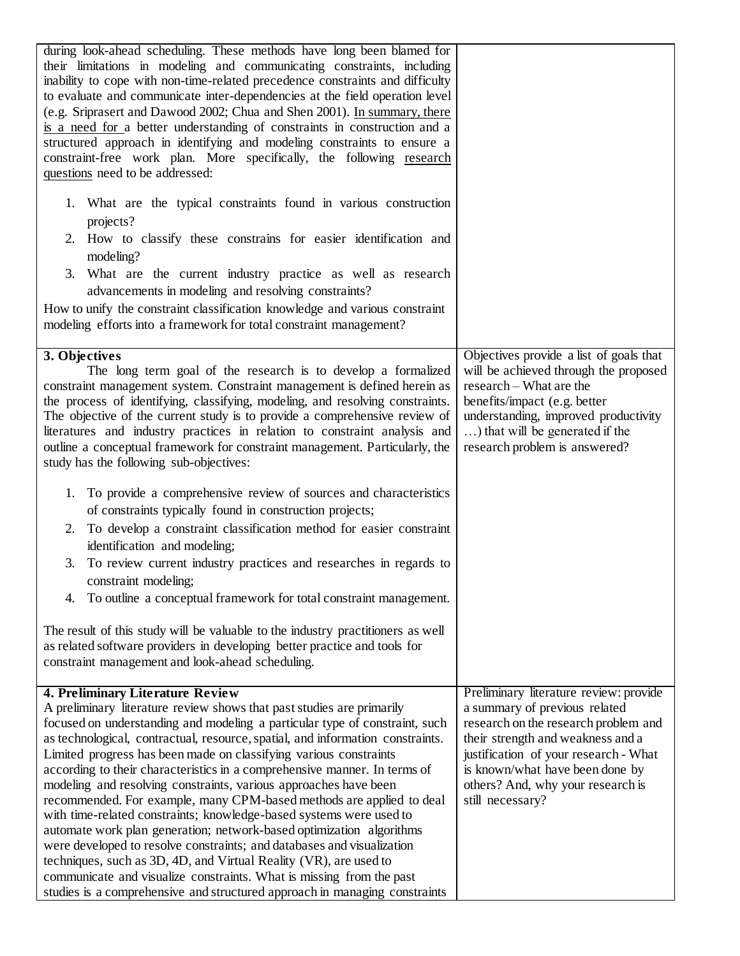| during look-ahead scheduling. These methods have long been blamed for<br>their limitations in modeling and communicating constraints, including<br>inability to cope with non-time-related precedence constraints and difficulty<br>to evaluate and communicate inter-dependencies at the field operation level<br>(e.g. Sriprasert and Dawood 2002; Chua and Shen 2001). In summary, there<br>is a need for a better understanding of constraints in construction and a<br>structured approach in identifying and modeling constraints to ensure a<br>constraint-free work plan. More specifically, the following research<br>questions need to be addressed:<br>1. What are the typical constraints found in various construction<br>projects?<br>2. How to classify these constrains for easier identification and<br>modeling?<br>3. What are the current industry practice as well as research<br>advancements in modeling and resolving constraints?<br>How to unify the constraint classification knowledge and various constraint<br>modeling efforts into a framework for total constraint management?                                                                     |                                                                                                                                                                                                                                                                                           |
|-------------------------------------------------------------------------------------------------------------------------------------------------------------------------------------------------------------------------------------------------------------------------------------------------------------------------------------------------------------------------------------------------------------------------------------------------------------------------------------------------------------------------------------------------------------------------------------------------------------------------------------------------------------------------------------------------------------------------------------------------------------------------------------------------------------------------------------------------------------------------------------------------------------------------------------------------------------------------------------------------------------------------------------------------------------------------------------------------------------------------------------------------------------------------------------|-------------------------------------------------------------------------------------------------------------------------------------------------------------------------------------------------------------------------------------------------------------------------------------------|
| 3. Objectives<br>The long term goal of the research is to develop a formalized<br>constraint management system. Constraint management is defined herein as<br>the process of identifying, classifying, modeling, and resolving constraints.<br>The objective of the current study is to provide a comprehensive review of<br>literatures and industry practices in relation to constraint analysis and<br>outline a conceptual framework for constraint management. Particularly, the<br>study has the following sub-objectives:<br>1. To provide a comprehensive review of sources and characteristics<br>of constraints typically found in construction projects;<br>To develop a constraint classification method for easier constraint<br>2.<br>identification and modeling;<br>To review current industry practices and researches in regards to<br>3.<br>constraint modeling;<br>To outline a conceptual framework for total constraint management.<br>4.<br>The result of this study will be valuable to the industry practitioners as well<br>as related software providers in developing better practice and tools for<br>constraint management and look-ahead scheduling. | Objectives provide a list of goals that<br>will be achieved through the proposed<br>research – What are the<br>benefits/impact (e.g. better<br>understanding, improved productivity<br>) that will be generated if the<br>research problem is answered?                                   |
| 4. Preliminary Literature Review<br>A preliminary literature review shows that past studies are primarily<br>focused on understanding and modeling a particular type of constraint, such<br>as technological, contractual, resource, spatial, and information constraints.<br>Limited progress has been made on classifying various constraints<br>according to their characteristics in a comprehensive manner. In terms of<br>modeling and resolving constraints, various approaches have been<br>recommended. For example, many CPM-based methods are applied to deal<br>with time-related constraints; knowledge-based systems were used to<br>automate work plan generation; network-based optimization algorithms<br>were developed to resolve constraints; and databases and visualization<br>techniques, such as 3D, 4D, and Virtual Reality (VR), are used to<br>communicate and visualize constraints. What is missing from the past<br>studies is a comprehensive and structured approach in managing constraints                                                                                                                                                        | Preliminary literature review: provide<br>a summary of previous related<br>research on the research problem and<br>their strength and weakness and a<br>justification of your research - What<br>is known/what have been done by<br>others? And, why your research is<br>still necessary? |